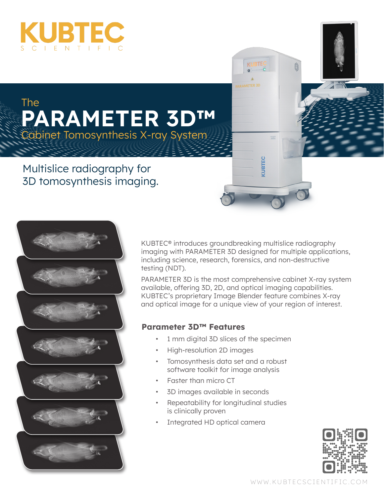

## **PARAMETER 3D™**  The Cabinet Tomosynthesis X-ray System

## Multislice radiography for 3D tomosynthesis imaging.



KUBTEC® introduces groundbreaking multislice radiography imaging with PARAMETER 3D designed for multiple applications, including science, research, forensics, and non-destructive testing (NDT).

**KUBTE** 

KUBTEC

PARAMETER 3D is the most comprehensive cabinet X-ray system available, offering 3D, 2D, and optical imaging capabilities. KUBTEC's proprietary Image Blender feature combines X-ray and optical image for a unique view of your region of interest.

#### **Parameter 3D™ Features**

- 1 mm digital 3D slices of the specimen
- High-resolution 2D images
- Tomosynthesis data set and a robust software toolkit for image analysis
- Faster than micro CT
- 3D images available in seconds
- Repeatability for longitudinal studies is clinically proven
- Integrated HD optical camera